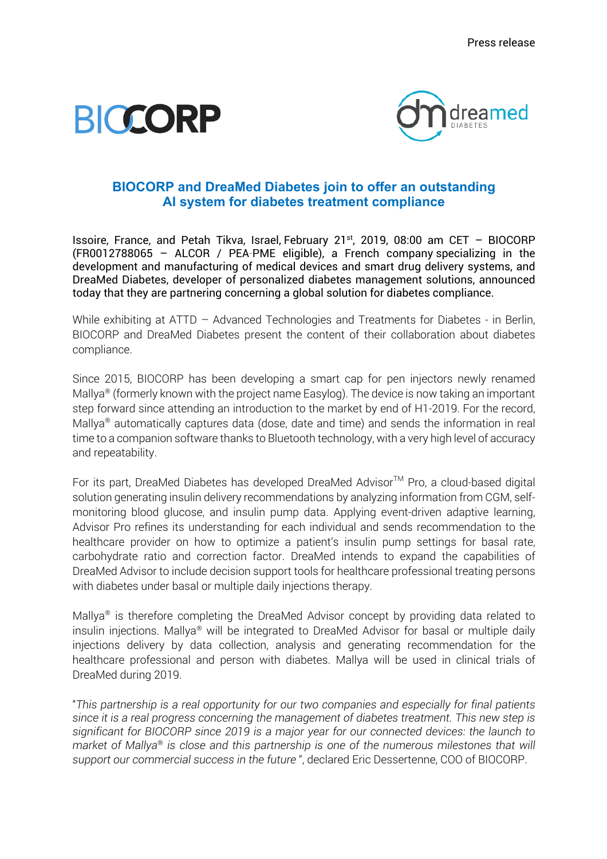



# **BIOCORP and DreaMed Diabetes join to offer an outstanding AI system for diabetes treatment compliance**

Issoire, France, and Petah Tikva, Israel, February 21st, 2019, 08:00 am CET – BIOCORP (FR0012788065 – ALCOR / PEA‐PME eligible), a French company specializing in the development and manufacturing of medical devices and smart drug delivery systems, and DreaMed Diabetes, developer of personalized diabetes management solutions, announced today that they are partnering concerning a global solution for diabetes compliance.

While exhibiting at ATTD – Advanced Technologies and Treatments for Diabetes - in Berlin, BIOCORP and DreaMed Diabetes present the content of their collaboration about diabetes compliance.

Since 2015, BIOCORP has been developing a smart cap for pen injectors newly renamed Mallya<sup>®</sup> (formerly known with the project name Easylog). The device is now taking an important step forward since attending an introduction to the market by end of H1-2019. For the record, Mallya<sup>®</sup> automatically captures data (dose, date and time) and sends the information in real time to a companion software thanks to Bluetooth technology, with a very high level of accuracy and repeatability.

For its part, DreaMed Diabetes has developed DreaMed Advisor™ Pro, a cloud-based digital solution generating insulin delivery recommendations by analyzing information from CGM, selfmonitoring blood glucose, and insulin pump data. Applying event-driven adaptive learning, Advisor Pro refines its understanding for each individual and sends recommendation to the healthcare provider on how to optimize a patient's insulin pump settings for basal rate, carbohydrate ratio and correction factor. DreaMed intends to expand the capabilities of DreaMed Advisor to include decision support tools for healthcare professional treating persons with diabetes under basal or multiple daily injections therapy.

Mallya<sup>®</sup> is therefore completing the DreaMed Advisor concept by providing data related to insulin injections. Mallya<sup>®</sup> will be integrated to DreaMed Advisor for basal or multiple daily injections delivery by data collection, analysis and generating recommendation for the healthcare professional and person with diabetes. Mallya will be used in clinical trials of DreaMed during 2019.

"*This partnership is a real opportunity for our two companies and especially for final patients since it is a real progress concerning the management of diabetes treatment. This new step is significant for BIOCORP since 2019 is a major year for our connected devices: the launch to market of Mallya<sup>®</sup> is close and this partnership is one of the numerous milestones that will support our commercial success in the future* ", declared Eric Dessertenne, COO of BIOCORP.